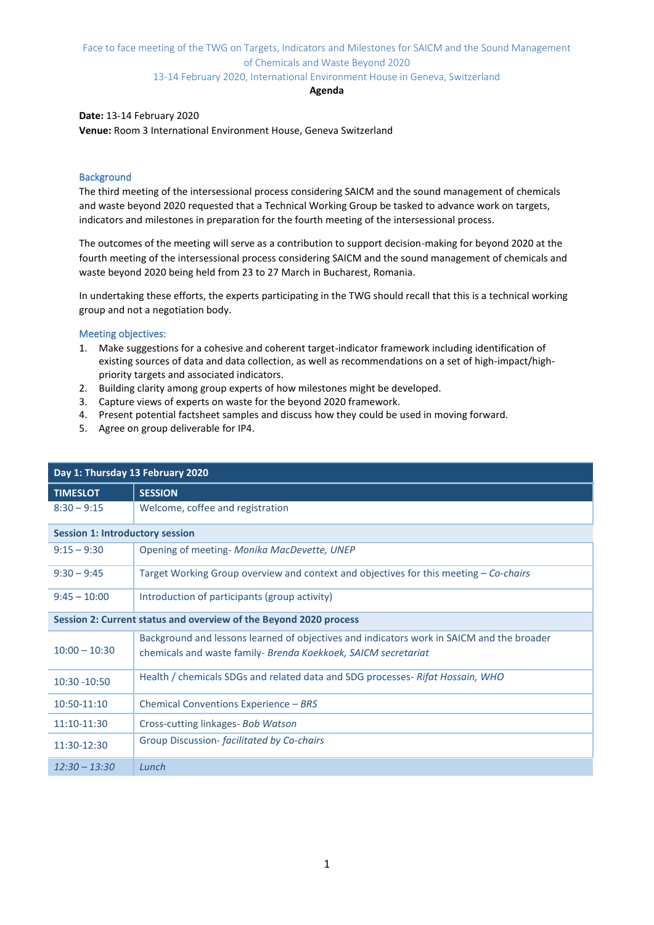### Face to face meeting of the TWG on Targets, Indicators and Milestones for SAICM and the Sound Management of Chemicals and Waste Beyond 2020

### 13-14 February 2020, International Environment House in Geneva, Switzerland

#### **Agenda**

#### **Date:** 13-14 February 2020

**Venue:** Room 3 International Environment House, Geneva Switzerland

### **Background**

The third meeting of the intersessional process considering SAICM and the sound management of chemicals and waste beyond 2020 requested that a Technical Working Group be tasked to advance work on targets, indicators and milestones in preparation for the fourth meeting of the intersessional process.

The outcomes of the meeting will serve as a contribution to support decision-making for beyond 2020 at the fourth meeting of the intersessional process considering SAICM and the sound management of chemicals and waste beyond 2020 being held from 23 to 27 March in Bucharest, Romania.

In undertaking these efforts, the experts participating in the TWG should recall that this is a technical working group and not a negotiation body.

### Meeting objectives:

- 1. Make suggestions for a cohesive and coherent target-indicator framework including identification of existing sources of data and data collection, as well as recommendations on a set of high-impact/highpriority targets and associated indicators.
- 2. Building clarity among group experts of how milestones might be developed.
- 3. Capture views of experts on waste for the beyond 2020 framework.
- 4. Present potential factsheet samples and discuss how they could be used in moving forward.
- 5. Agree on group deliverable for IP4.

| Day 1: Thursday 13 February 2020                                  |                                                                                                                                                             |  |
|-------------------------------------------------------------------|-------------------------------------------------------------------------------------------------------------------------------------------------------------|--|
| <b>TIMESLOT</b>                                                   | <b>SESSION</b>                                                                                                                                              |  |
| $8:30 - 9:15$                                                     | Welcome, coffee and registration                                                                                                                            |  |
| <b>Session 1: Introductory session</b>                            |                                                                                                                                                             |  |
| $9:15 - 9:30$                                                     | Opening of meeting- Monika MacDevette, UNEP                                                                                                                 |  |
| $9:30 - 9:45$                                                     | Target Working Group overview and context and objectives for this meeting $-$ Co-chairs                                                                     |  |
| $9:45 - 10:00$                                                    | Introduction of participants (group activity)                                                                                                               |  |
| Session 2: Current status and overview of the Beyond 2020 process |                                                                                                                                                             |  |
| $10:00 - 10:30$                                                   | Background and lessons learned of objectives and indicators work in SAICM and the broader<br>chemicals and waste family- Brenda Koekkoek, SAICM secretariat |  |
| $10:30 - 10:50$                                                   | Health / chemicals SDGs and related data and SDG processes- Rifat Hossain, WHO                                                                              |  |
| 10:50-11:10                                                       | Chemical Conventions Experience - BRS                                                                                                                       |  |
| 11:10-11:30                                                       | Cross-cutting linkages- Bob Watson                                                                                                                          |  |
| 11:30-12:30                                                       | Group Discussion- facilitated by Co-chairs                                                                                                                  |  |
| $12:30 - 13:30$                                                   | Lunch                                                                                                                                                       |  |